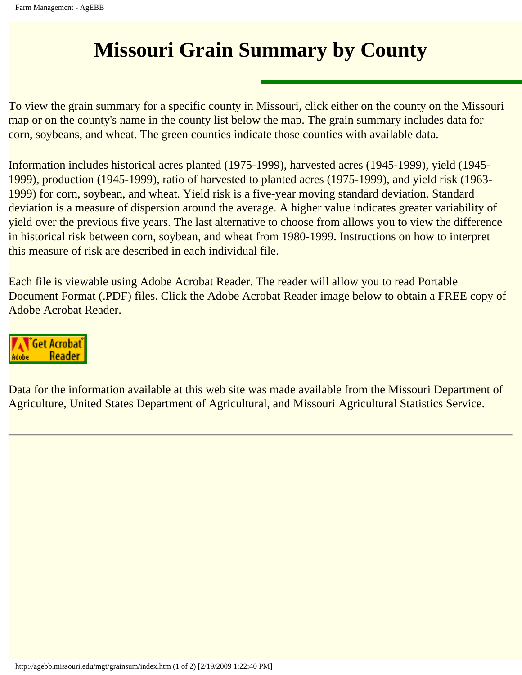## **Missouri Grain Summary by County**

To view the grain summary for a specific county in Missouri, click either on the county on the Missouri map or on the county's name in the county list below the map. The grain summary includes data for corn, soybeans, and wheat. The green counties indicate those counties with available data.

Information includes historical acres planted (1975-1999), harvested acres (1945-1999), yield (1945- 1999), production (1945-1999), ratio of harvested to planted acres (1975-1999), and yield risk (1963- 1999) for corn, soybean, and wheat. Yield risk is a five-year moving standard deviation. Standard deviation is a measure of dispersion around the average. A higher value indicates greater variability of yield over the previous five years. The last alternative to choose from allows you to view the difference in historical risk between corn, soybean, and wheat from 1980-1999. Instructions on how to interpret this measure of risk are described in each individual file.

Each file is viewable using Adobe Acrobat Reader. The reader will allow you to read Portable Document Format (.PDF) files. Click the Adobe Acrobat Reader image below to obtain a FREE copy of Adobe Acrobat Reader.



Data for the information available at this web site was made available from the Missouri Department of Agriculture, United States Department of Agricultural, and Missouri Agricultural Statistics Service.